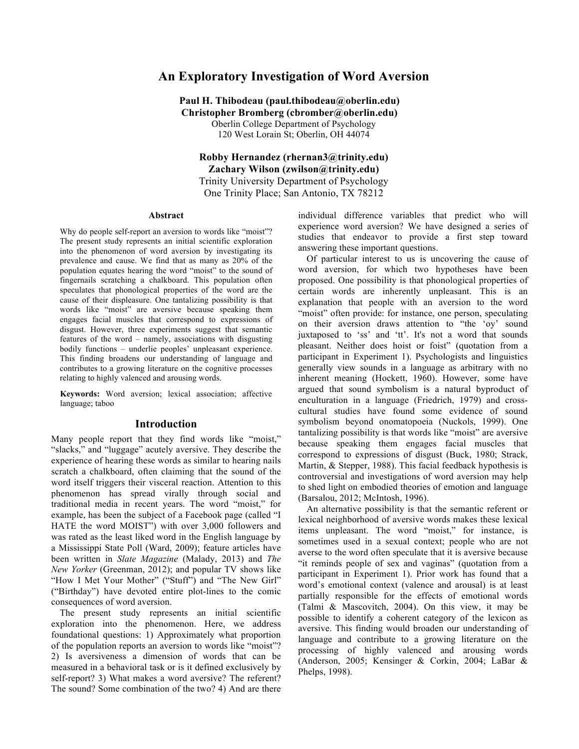# **An Exploratory Investigation of Word Aversion**

# **Paul H. Thibodeau (paul.thibodeau@oberlin.edu) Christopher Bromberg (cbromber@oberlin.edu)**

Oberlin College Department of Psychology 120 West Lorain St; Oberlin, OH 44074

# **Robby Hernandez (rhernan3@trinity.edu) Zachary Wilson (zwilson@trinity.edu)** Trinity University Department of Psychology One Trinity Place; San Antonio, TX 78212

#### **Abstract**

Why do people self-report an aversion to words like "moist"? The present study represents an initial scientific exploration into the phenomenon of word aversion by investigating its prevalence and cause. We find that as many as 20% of the population equates hearing the word "moist" to the sound of fingernails scratching a chalkboard. This population often speculates that phonological properties of the word are the cause of their displeasure. One tantalizing possibility is that words like "moist" are aversive because speaking them engages facial muscles that correspond to expressions of disgust. However, three experiments suggest that semantic features of the word – namely, associations with disgusting bodily functions – underlie peoples' unpleasant experience. This finding broadens our understanding of language and contributes to a growing literature on the cognitive processes relating to highly valenced and arousing words.

**Keywords:** Word aversion; lexical association; affective language; taboo

#### **Introduction**

Many people report that they find words like "moist," "slacks," and "luggage" acutely aversive. They describe the experience of hearing these words as similar to hearing nails scratch a chalkboard, often claiming that the sound of the word itself triggers their visceral reaction. Attention to this phenomenon has spread virally through social and traditional media in recent years. The word "moist," for example, has been the subject of a Facebook page (called "I HATE the word MOIST") with over 3,000 followers and was rated as the least liked word in the English language by a Mississippi State Poll (Ward, 2009); feature articles have been written in *Slate Magazine* (Malady, 2013) and *The New Yorker* (Greenman, 2012); and popular TV shows like "How I Met Your Mother" ("Stuff") and "The New Girl" ("Birthday") have devoted entire plot-lines to the comic consequences of word aversion.

The present study represents an initial scientific exploration into the phenomenon. Here, we address foundational questions: 1) Approximately what proportion of the population reports an aversion to words like "moist"? 2) Is aversiveness a dimension of words that can be measured in a behavioral task or is it defined exclusively by self-report? 3) What makes a word aversive? The referent? The sound? Some combination of the two? 4) And are there

individual difference variables that predict who will experience word aversion? We have designed a series of studies that endeavor to provide a first step toward answering these important questions.

Of particular interest to us is uncovering the cause of word aversion, for which two hypotheses have been proposed. One possibility is that phonological properties of certain words are inherently unpleasant. This is an explanation that people with an aversion to the word "moist" often provide: for instance, one person, speculating on their aversion draws attention to "the 'oy' sound juxtaposed to 'ss' and 'tt'. It's not a word that sounds pleasant. Neither does hoist or foist" (quotation from a participant in Experiment 1). Psychologists and linguistics generally view sounds in a language as arbitrary with no inherent meaning (Hockett, 1960). However, some have argued that sound symbolism is a natural byproduct of enculturation in a language (Friedrich, 1979) and crosscultural studies have found some evidence of sound symbolism beyond onomatopoeia (Nuckols, 1999). One tantalizing possibility is that words like "moist" are aversive because speaking them engages facial muscles that correspond to expressions of disgust (Buck, 1980; Strack, Martin, & Stepper, 1988). This facial feedback hypothesis is controversial and investigations of word aversion may help to shed light on embodied theories of emotion and language (Barsalou, 2012; McIntosh, 1996).

An alternative possibility is that the semantic referent or lexical neighborhood of aversive words makes these lexical items unpleasant. The word "moist," for instance, is sometimes used in a sexual context; people who are not averse to the word often speculate that it is aversive because "it reminds people of sex and vaginas" (quotation from a participant in Experiment 1). Prior work has found that a word's emotional context (valence and arousal) is at least partially responsible for the effects of emotional words (Talmi & Mascovitch, 2004). On this view, it may be possible to identify a coherent category of the lexicon as aversive. This finding would broaden our understanding of language and contribute to a growing literature on the processing of highly valenced and arousing words (Anderson, 2005; Kensinger & Corkin, 2004; LaBar & Phelps, 1998).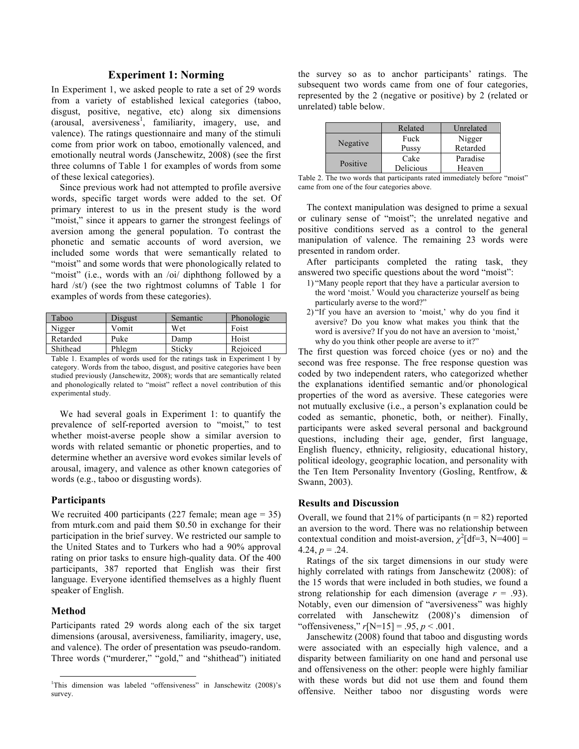# **Experiment 1: Norming**

In Experiment 1, we asked people to rate a set of 29 words from a variety of established lexical categories (taboo, disgust, positive, negative, etc) along six dimensions  $(arousal, \alpha$  aversiveness<sup>1</sup>, familiarity, imagery, use, and valence). The ratings questionnaire and many of the stimuli come from prior work on taboo, emotionally valenced, and emotionally neutral words (Janschewitz, 2008) (see the first three columns of Table 1 for examples of words from some of these lexical categories).

Since previous work had not attempted to profile aversive words, specific target words were added to the set. Of primary interest to us in the present study is the word "moist," since it appears to garner the strongest feelings of aversion among the general population. To contrast the phonetic and sematic accounts of word aversion, we included some words that were semantically related to "moist" and some words that were phonologically related to "moist" (i.e., words with an /oi/ diphthong followed by a hard /st/) (see the two rightmost columns of Table 1 for examples of words from these categories).

| Taboo    | Disgust | Semantic | Phonologic |
|----------|---------|----------|------------|
| Nigger   | Vomit   | Wet      | Foist      |
| Retarded | Puke    | Damp     | Hoist      |
| Shithead | Phlegm  | Sticky   | Rejoiced   |

Table 1. Examples of words used for the ratings task in Experiment 1 by category. Words from the taboo, disgust, and positive categories have been studied previously (Janschewitz, 2008); words that are semantically related and phonologically related to "moist" reflect a novel contribution of this experimental study.

We had several goals in Experiment 1: to quantify the prevalence of self-reported aversion to "moist," to test whether moist-averse people show a similar aversion to words with related semantic or phonetic properties, and to determine whether an aversive word evokes similar levels of arousal, imagery, and valence as other known categories of words (e.g., taboo or disgusting words).

## **Participants**

We recruited 400 participants (227 female; mean age  $= 35$ ) from mturk.com and paid them \$0.50 in exchange for their participation in the brief survey. We restricted our sample to the United States and to Turkers who had a 90% approval rating on prior tasks to ensure high-quality data. Of the 400 participants, 387 reported that English was their first language. Everyone identified themselves as a highly fluent speaker of English.

#### **Method**

Participants rated 29 words along each of the six target dimensions (arousal, aversiveness, familiarity, imagery, use, and valence). The order of presentation was pseudo-random. Three words ("murderer," "gold," and "shithead") initiated

the survey so as to anchor participants' ratings. The subsequent two words came from one of four categories. represented by the 2 (negative or positive) by 2 (related or unrelated) table below.

|          | Related   | Unrelated |  |
|----------|-----------|-----------|--|
| Negative | Fuck      | Nigger    |  |
|          | Pussy     | Retarded  |  |
| Positive | Cake      | Paradise  |  |
|          | Delicious | Heaven    |  |

Table 2. The two words that participants rated immediately before "moist" came from one of the four categories above.

The context manipulation was designed to prime a sexual or culinary sense of "moist"; the unrelated negative and positive conditions served as a control to the general manipulation of valence. The remaining 23 words were presented in random order.

After participants completed the rating task, they answered two specific questions about the word "moist":

- 1) "Many people report that they have a particular aversion to the word 'moist.' Would you characterize yourself as being particularly averse to the word?"
- 2) "If you have an aversion to 'moist,' why do you find it aversive? Do you know what makes you think that the word is aversive? If you do not have an aversion to 'moist,' why do you think other people are averse to it?"

The first question was forced choice (yes or no) and the second was free response. The free response question was coded by two independent raters, who categorized whether the explanations identified semantic and/or phonological properties of the word as aversive. These categories were not mutually exclusive (i.e., a person's explanation could be coded as semantic, phonetic, both, or neither). Finally, participants were asked several personal and background questions, including their age, gender, first language, English fluency, ethnicity, religiosity, educational history, political ideology, geographic location, and personality with the Ten Item Personality Inventory (Gosling, Rentfrow, & Swann, 2003).

#### **Results and Discussion**

Overall, we found that  $21\%$  of participants (n = 82) reported an aversion to the word. There was no relationship between contextual condition and moist-aversion,  $\chi^2$ [df=3, N=400] = 4.24,  $p = .24$ .

Ratings of the six target dimensions in our study were highly correlated with ratings from Janschewitz (2008): of the 15 words that were included in both studies, we found a strong relationship for each dimension (average  $r = .93$ ). Notably, even our dimension of "aversiveness" was highly correlated with Janschewitz (2008)'s dimension of "offensiveness," *r*[N=15] = .95, *p* < .001.

Janschewitz (2008) found that taboo and disgusting words were associated with an especially high valence, and a disparity between familiarity on one hand and personal use and offensiveness on the other: people were highly familiar with these words but did not use them and found them offensive. Neither taboo nor disgusting words were

 <sup>1</sup> This dimension was labeled "offensiveness" in Janschewitz (2008)'s survey.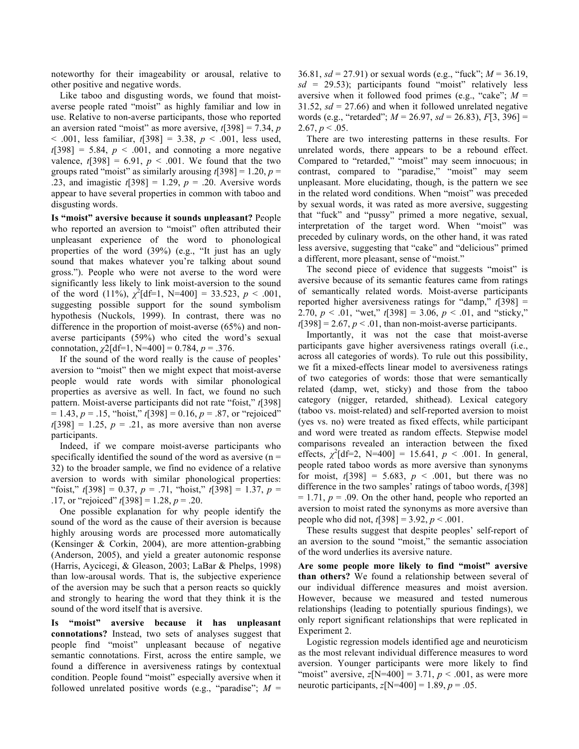noteworthy for their imageability or arousal, relative to other positive and negative words.

Like taboo and disgusting words, we found that moistaverse people rated "moist" as highly familiar and low in use. Relative to non-averse participants, those who reported an aversion rated "moist" as more aversive, *t*[398] = 7.34, *p*  < .001, less familiar, *t*[398] = 3.38, *p* < .001, less used,  $t[398] = 5.84$ ,  $p < .001$ , and connoting a more negative valence,  $t[398] = 6.91$ ,  $p < .001$ . We found that the two groups rated "moist" as similarly arousing *t*[398] = 1.20, *p* = .23, and imagistic *t*[398] = 1.29, *p* = .20. Aversive words appear to have several properties in common with taboo and disgusting words.

**Is "moist" aversive because it sounds unpleasant?** People who reported an aversion to "moist" often attributed their unpleasant experience of the word to phonological properties of the word (39%) (e.g., "It just has an ugly sound that makes whatever you're talking about sound gross."). People who were not averse to the word were significantly less likely to link moist-aversion to the sound of the word (11%),  $\chi^2$ [df=1, N=400] = 33.523, *p* < .001, suggesting possible support for the sound symbolism hypothesis (Nuckols, 1999). In contrast, there was no difference in the proportion of moist-averse (65%) and nonaverse participants (59%) who cited the word's sexual connotation,  $\chi$ 2[df=1, N=400] = 0.784,  $p = .376$ .

If the sound of the word really is the cause of peoples' aversion to "moist" then we might expect that moist-averse people would rate words with similar phonological properties as aversive as well. In fact, we found no such pattern. Moist-averse participants did not rate "foist," *t*[398]  $= 1.43, p = .15$ , "hoist,"  $t[398] = 0.16, p = .87$ , or "rejoiced"  $t[398] = 1.25$ ,  $p = .21$ , as more aversive than non averse participants.

Indeed, if we compare moist-averse participants who specifically identified the sound of the word as aversive  $(n =$ 32) to the broader sample, we find no evidence of a relative aversion to words with similar phonological properties: "foist," *t*[398] = 0.37, *p* = .71, "hoist," *t*[398] = 1.37, *p* = .17, or "rejoiced" *t*[398] = 1.28, *p* = .20.

One possible explanation for why people identify the sound of the word as the cause of their aversion is because highly arousing words are processed more automatically (Kensinger & Corkin, 2004), are more attention-grabbing (Anderson, 2005), and yield a greater autonomic response (Harris, Aycicegi, & Gleason, 2003; LaBar & Phelps, 1998) than low-arousal words. That is, the subjective experience of the aversion may be such that a person reacts so quickly and strongly to hearing the word that they think it is the sound of the word itself that is aversive.

**Is "moist" aversive because it has unpleasant connotations?** Instead, two sets of analyses suggest that people find "moist" unpleasant because of negative semantic connotations. First, across the entire sample, we found a difference in aversiveness ratings by contextual condition. People found "moist" especially aversive when it followed unrelated positive words (e.g., "paradise"; *M* = 36.81, *sd* = 27.91) or sexual words (e.g., "fuck"; *M* = 36.19, *sd* = 29.53); participants found "moist" relatively less aversive when it followed food primes (e.g., "cake";  $M =$ 31.52,  $sd = 27.66$ ) and when it followed unrelated negative words (e.g., "retarded"; *M* = 26.97, *sd* = 26.83), *F*[3, 396] =  $2.67, p < .05.$ 

There are two interesting patterns in these results. For unrelated words, there appears to be a rebound effect. Compared to "retarded," "moist" may seem innocuous; in contrast, compared to "paradise," "moist" may seem unpleasant. More elucidating, though, is the pattern we see in the related word conditions. When "moist" was preceded by sexual words, it was rated as more aversive, suggesting that "fuck" and "pussy" primed a more negative, sexual, interpretation of the target word. When "moist" was preceded by culinary words, on the other hand, it was rated less aversive, suggesting that "cake" and "delicious" primed a different, more pleasant, sense of "moist."

The second piece of evidence that suggests "moist" is aversive because of its semantic features came from ratings of semantically related words. Moist-averse participants reported higher aversiveness ratings for "damp," *t*[398] = 2.70,  $p < .01$ , "wet,"  $t[398] = 3.06$ ,  $p < .01$ , and "sticky,"  $t[398] = 2.67$ ,  $p < .01$ , than non-moist-averse participants.

Importantly, it was not the case that moist-averse participants gave higher aversiveness ratings overall (i.e., across all categories of words). To rule out this possibility, we fit a mixed-effects linear model to aversiveness ratings of two categories of words: those that were semantically related (damp, wet, sticky) and those from the taboo category (nigger, retarded, shithead). Lexical category (taboo vs. moist-related) and self-reported aversion to moist (yes vs. no) were treated as fixed effects, while participant and word were treated as random effects. Stepwise model comparisons revealed an interaction between the fixed effects,  $\chi^2$ [df=2, N=400] = 15.641,  $p < .001$ . In general, people rated taboo words as more aversive than synonyms for moist,  $t[398] = 5.683$ ,  $p < .001$ , but there was no difference in the two samples' ratings of taboo words, *t*[398]  $= 1.71$ ,  $p = .09$ . On the other hand, people who reported an aversion to moist rated the synonyms as more aversive than people who did not, *t*[398] = 3.92, *p* < .001.

These results suggest that despite peoples' self-report of an aversion to the sound "moist," the semantic association of the word underlies its aversive nature.

**Are some people more likely to find "moist" aversive than others?** We found a relationship between several of our individual difference measures and moist aversion. However, because we measured and tested numerous relationships (leading to potentially spurious findings), we only report significant relationships that were replicated in Experiment 2.

Logistic regression models identified age and neuroticism as the most relevant individual difference measures to word aversion. Younger participants were more likely to find "moist" aversive,  $z[N=400] = 3.71$ ,  $p < .001$ , as were more neurotic participants,  $z[N=400] = 1.89$ ,  $p = .05$ .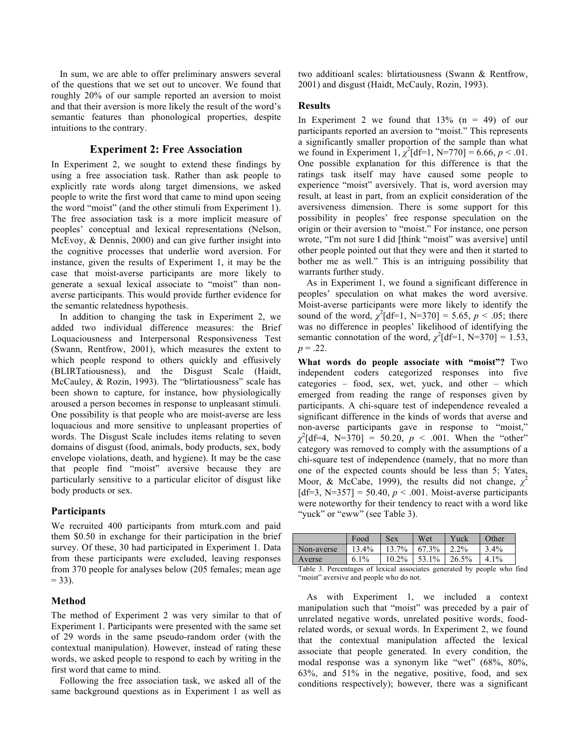In sum, we are able to offer preliminary answers several of the questions that we set out to uncover. We found that roughly 20% of our sample reported an aversion to moist and that their aversion is more likely the result of the word's semantic features than phonological properties, despite intuitions to the contrary.

## **Experiment 2: Free Association**

In Experiment 2, we sought to extend these findings by using a free association task. Rather than ask people to explicitly rate words along target dimensions, we asked people to write the first word that came to mind upon seeing the word "moist" (and the other stimuli from Experiment 1). The free association task is a more implicit measure of peoples' conceptual and lexical representations (Nelson, McEvoy, & Dennis, 2000) and can give further insight into the cognitive processes that underlie word aversion. For instance, given the results of Experiment 1, it may be the case that moist-averse participants are more likely to generate a sexual lexical associate to "moist" than nonaverse participants. This would provide further evidence for the semantic relatedness hypothesis.

In addition to changing the task in Experiment 2, we added two individual difference measures: the Brief Loquaciousness and Interpersonal Responsiveness Test (Swann, Rentfrow, 2001), which measures the extent to which people respond to others quickly and effusively (BLIRTatiousness), and the Disgust Scale (Haidt, McCauley, & Rozin, 1993). The "blirtatiousness" scale has been shown to capture, for instance, how physiologically aroused a person becomes in response to unpleasant stimuli. One possibility is that people who are moist-averse are less loquacious and more sensitive to unpleasant properties of words. The Disgust Scale includes items relating to seven domains of disgust (food, animals, body products, sex, body envelope violations, death, and hygiene). It may be the case that people find "moist" aversive because they are particularly sensitive to a particular elicitor of disgust like body products or sex.

## **Participants**

We recruited 400 participants from mturk.com and paid them \$0.50 in exchange for their participation in the brief survey. Of these, 30 had participated in Experiment 1. Data from these participants were excluded, leaving responses from 370 people for analyses below (205 females; mean age  $= 33$ ).

#### **Method**

The method of Experiment 2 was very similar to that of Experiment 1. Participants were presented with the same set of 29 words in the same pseudo-random order (with the contextual manipulation). However, instead of rating these words, we asked people to respond to each by writing in the first word that came to mind.

Following the free association task, we asked all of the same background questions as in Experiment 1 as well as

two additioanl scales: blirtatiousness (Swann & Rentfrow, 2001) and disgust (Haidt, McCauly, Rozin, 1993).

### **Results**

In Experiment 2 we found that  $13\%$  (n = 49) of our participants reported an aversion to "moist." This represents a significantly smaller proportion of the sample than what we found in Experiment 1,  $\chi^2$ [df=1, N=770] = 6.66, *p* < .01. One possible explanation for this difference is that the ratings task itself may have caused some people to experience "moist" aversively. That is, word aversion may result, at least in part, from an explicit consideration of the aversiveness dimension. There is some support for this possibility in peoples' free response speculation on the origin or their aversion to "moist." For instance, one person wrote, "I'm not sure I did [think "moist" was aversive] until other people pointed out that they were and then it started to bother me as well." This is an intriguing possibility that warrants further study.

As in Experiment 1, we found a significant difference in peoples' speculation on what makes the word aversive. Moist-averse participants were more likely to identify the sound of the word,  $\chi^2$ [df=1, N=370] = 5.65, *p* < .05; there was no difference in peoples' likelihood of identifying the semantic connotation of the word,  $\chi^2$ [df=1, N=370] = 1.53,  $p = .22$ .

**What words do people associate with "moist"?** Two independent coders categorized responses into five categories – food, sex, wet, yuck, and other – which emerged from reading the range of responses given by participants. A chi-square test of independence revealed a significant difference in the kinds of words that averse and non-averse participants gave in response to "moist,"  $\chi^2$ [df=4, N=370] = 50.20, *p* < .001. When the "other" category was removed to comply with the assumptions of a chi-square test of independence (namely, that no more than one of the expected counts should be less than 5; Yates, Moor, & McCabe, 1999), the results did not change,  $\chi^2$ [df=3, N=357] = 50.40,  $p < .001$ . Moist-averse participants were noteworthy for their tendency to react with a word like "yuck" or "eww" (see Table 3).

|            | Food       | Sex      | Wet   | Yuck       | Other |
|------------|------------|----------|-------|------------|-------|
| Non-averse | $4\%$      | $7\%$    | 3%    | $2\%$      | $4\%$ |
| Averse     | $1\%$<br>6 | $10.2\%$ | $1\%$ | 5%<br>26.5 | $1\%$ |

Table 3. Percentages of lexical associates generated by people who find "moist" aversive and people who do not.

As with Experiment 1, we included a context manipulation such that "moist" was preceded by a pair of unrelated negative words, unrelated positive words, foodrelated words, or sexual words. In Experiment 2, we found that the contextual manipulation affected the lexical associate that people generated. In every condition, the modal response was a synonym like "wet" (68%, 80%, 63%, and 51% in the negative, positive, food, and sex conditions respectively); however, there was a significant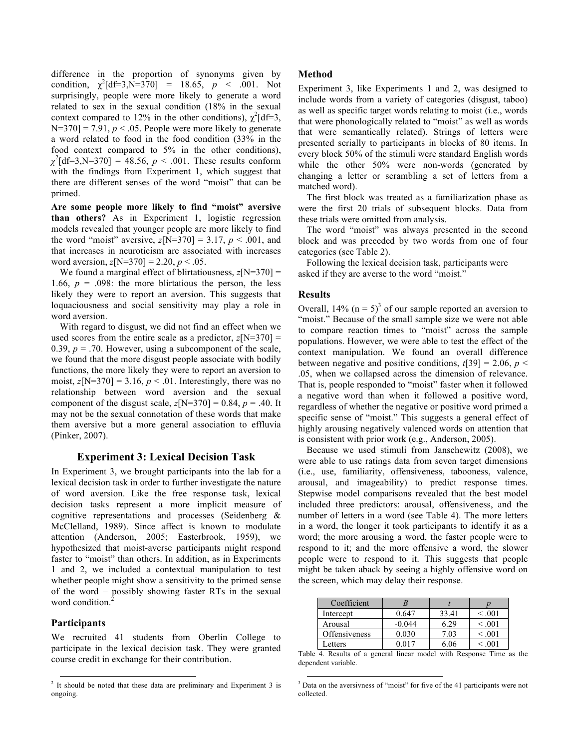difference in the proportion of synonyms given by condition,  $\chi^2$ [df=3,N=370] = 18.65, *p* < .001. Not surprisingly, people were more likely to generate a word related to sex in the sexual condition (18% in the sexual context compared to 12% in the other conditions),  $\chi^2$ [df=3,  $N=370$ ] = 7.91,  $p < .05$ . People were more likely to generate a word related to food in the food condition (33% in the food context compared to 5% in the other conditions),  $\chi^2$ [df=3,N=370] = 48.56, *p* < .001. These results conform with the findings from Experiment 1, which suggest that there are different senses of the word "moist" that can be primed.

**Are some people more likely to find "moist" aversive than others?** As in Experiment 1, logistic regression models revealed that younger people are more likely to find the word "moist" aversive,  $z[N=370] = 3.17$ ,  $p < .001$ , and that increases in neuroticism are associated with increases word aversion,  $z[N=370] = 2.20, p < .05$ .

We found a marginal effect of blirtatiousness,  $z[N=370] =$ 1.66,  $p = 0.098$ : the more blirtatious the person, the less likely they were to report an aversion. This suggests that loquaciousness and social sensitivity may play a role in word aversion.

With regard to disgust, we did not find an effect when we used scores from the entire scale as a predictor,  $z[N=370] =$ 0.39,  $p = 0.70$ . However, using a subcomponent of the scale, we found that the more disgust people associate with bodily functions, the more likely they were to report an aversion to moist,  $z[N=370] = 3.16$ ,  $p < .01$ . Interestingly, there was no relationship between word aversion and the sexual component of the disgust scale,  $z[N=370] = 0.84$ ,  $p = .40$ . It may not be the sexual connotation of these words that make them aversive but a more general association to effluvia (Pinker, 2007).

# **Experiment 3: Lexical Decision Task**

In Experiment 3, we brought participants into the lab for a lexical decision task in order to further investigate the nature of word aversion. Like the free response task, lexical decision tasks represent a more implicit measure of cognitive representations and processes (Seidenberg & McClelland, 1989). Since affect is known to modulate attention (Anderson, 2005; Easterbrook, 1959), we hypothesized that moist-averse participants might respond faster to "moist" than others. In addition, as in Experiments 1 and 2, we included a contextual manipulation to test whether people might show a sensitivity to the primed sense of the word – possibly showing faster RTs in the sexual word condition.  $\tilde{2}$ 

## **Participants**

We recruited 41 students from Oberlin College to participate in the lexical decision task. They were granted course credit in exchange for their contribution.

## **Method**

Experiment 3, like Experiments 1 and 2, was designed to include words from a variety of categories (disgust, taboo) as well as specific target words relating to moist (i.e., words that were phonologically related to "moist" as well as words that were semantically related). Strings of letters were presented serially to participants in blocks of 80 items. In every block 50% of the stimuli were standard English words while the other 50% were non-words (generated by changing a letter or scrambling a set of letters from a matched word).

The first block was treated as a familiarization phase as were the first 20 trials of subsequent blocks. Data from these trials were omitted from analysis.

The word "moist" was always presented in the second block and was preceded by two words from one of four categories (see Table 2).

Following the lexical decision task, participants were asked if they are averse to the word "moist."

## **Results**

Overall,  $14\%$  (n = 5)<sup>3</sup> of our sample reported an aversion to "moist." Because of the small sample size we were not able to compare reaction times to "moist" across the sample populations. However, we were able to test the effect of the context manipulation. We found an overall difference between negative and positive conditions,  $t[39] = 2.06$ ,  $p <$ .05, when we collapsed across the dimension of relevance. That is, people responded to "moist" faster when it followed a negative word than when it followed a positive word, regardless of whether the negative or positive word primed a specific sense of "moist." This suggests a general effect of highly arousing negatively valenced words on attention that is consistent with prior work (e.g., Anderson, 2005).

Because we used stimuli from Janschewitz (2008), we were able to use ratings data from seven target dimensions (i.e., use, familiarity, offensiveness, tabooness, valence, arousal, and imageability) to predict response times. Stepwise model comparisons revealed that the best model included three predictors: arousal, offensiveness, and the number of letters in a word (see Table 4). The more letters in a word, the longer it took participants to identify it as a word; the more arousing a word, the faster people were to respond to it; and the more offensive a word, the slower people were to respond to it. This suggests that people might be taken aback by seeing a highly offensive word on the screen, which may delay their response.

| Coefficient          |          |       |             |
|----------------------|----------|-------|-------------|
| Intercept            | 0.647    | 33.41 | $\leq 0.01$ |
| Arousal              | $-0.044$ | 6.29  | $\leq 0.01$ |
| <b>Offensiveness</b> | 0.030    | 7.03  | $\leq 0.01$ |
| Letters              | ስ በ17    | 6 06  | < 0.01      |

Table 4. Results of a general linear model with Response Time as the dependent variable.

<sup>&</sup>lt;sup>2</sup> It should be noted that these data are preliminary and Experiment 3 is ongoing.

<sup>&</sup>lt;sup>3</sup> Data on the aversivness of "moist" for five of the 41 participants were not collected.